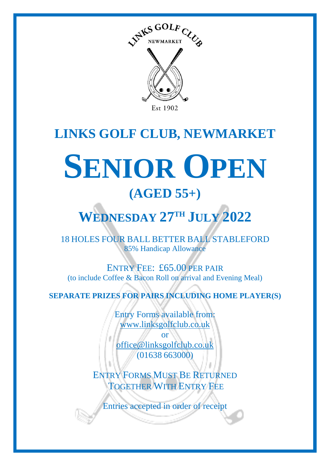

## **LINKS GOLF CLUB, NEWMARKET**

# **SENIOR OPEN (AGED 55+)**

## **WEDNESDAY 27 TH JULY 2022**

18 HOLES FOUR BALL BETTER BALL STABLEFORD 85% Handicap Allowance

ENTRY FEE: £65.00 PER PAIR (to include Coffee & Bacon Roll on arrival and Evening Meal)

**SEPARATE PRIZES FOR PAIRS INCLUDING HOME PLAYER(S)**

Entry Forms available from: [www.linksgolfclub.co.uk](http://www.linksgolfclub.co.uk/)

or [office@linksgolfclub.co.uk](mailto:office@linksgolfclub.co.uk) (01638 663000)

ENTRY FORMS MUST BE RETURNED TOGETHER WITH ENTRY FEE

Entries accepted in order of receipt